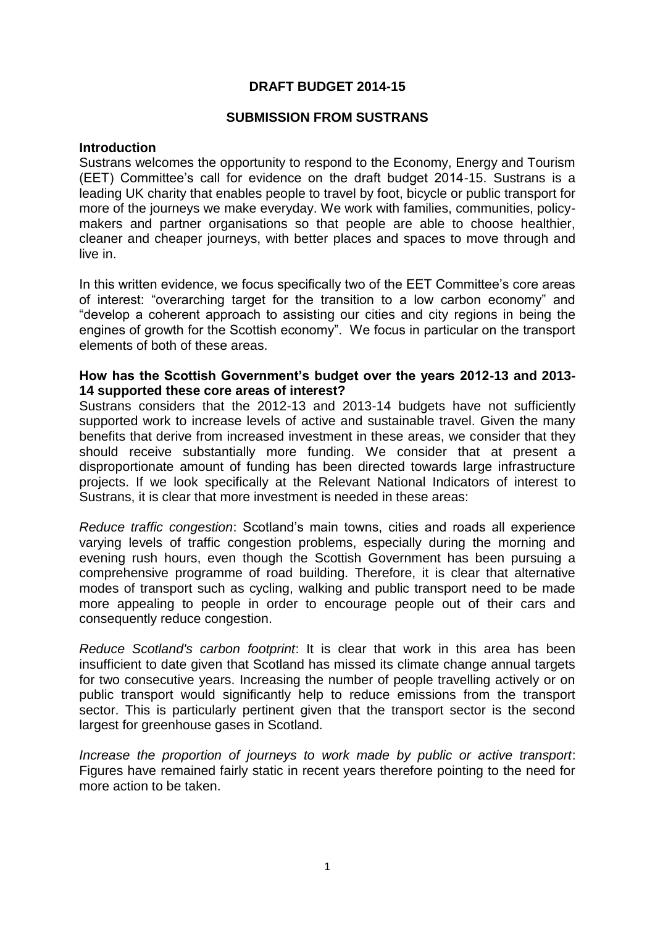# **DRAFT BUDGET 2014-15**

## **SUBMISSION FROM SUSTRANS**

#### **Introduction**

Sustrans welcomes the opportunity to respond to the Economy, Energy and Tourism (EET) Committee's call for evidence on the draft budget 2014-15. Sustrans is a leading UK charity that enables people to travel by foot, bicycle or public transport for more of the journeys we make everyday. We work with families, communities, policymakers and partner organisations so that people are able to choose healthier, cleaner and cheaper journeys, with better places and spaces to move through and live in.

In this written evidence, we focus specifically two of the EET Committee's core areas of interest: "overarching target for the transition to a low carbon economy" and "develop a coherent approach to assisting our cities and city regions in being the engines of growth for the Scottish economy". We focus in particular on the transport elements of both of these areas.

### **How has the Scottish Government's budget over the years 2012-13 and 2013- 14 supported these core areas of interest?**

Sustrans considers that the 2012-13 and 2013-14 budgets have not sufficiently supported work to increase levels of active and sustainable travel. Given the many benefits that derive from increased investment in these areas, we consider that they should receive substantially more funding. We consider that at present a disproportionate amount of funding has been directed towards large infrastructure projects. If we look specifically at the Relevant National Indicators of interest to Sustrans, it is clear that more investment is needed in these areas:

*Reduce traffic congestion*: Scotland's main towns, cities and roads all experience varying levels of traffic congestion problems, especially during the morning and evening rush hours, even though the Scottish Government has been pursuing a comprehensive programme of road building. Therefore, it is clear that alternative modes of transport such as cycling, walking and public transport need to be made more appealing to people in order to encourage people out of their cars and consequently reduce congestion.

*Reduce Scotland's carbon footprint*: It is clear that work in this area has been insufficient to date given that Scotland has missed its climate change annual targets for two consecutive years. Increasing the number of people travelling actively or on public transport would significantly help to reduce emissions from the transport sector. This is particularly pertinent given that the transport sector is the second largest for greenhouse gases in Scotland.

*Increase the proportion of journeys to work made by public or active transport*: Figures have remained fairly static in recent years therefore pointing to the need for more action to be taken.